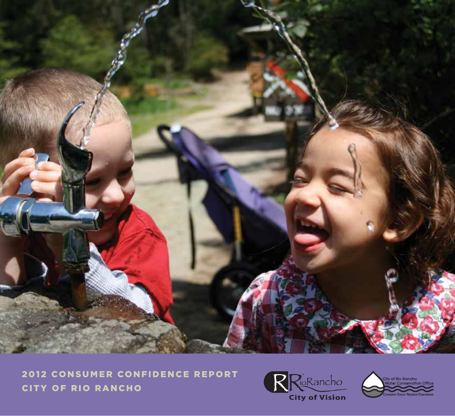

2012 CONSUMER CONFIDENCE REPORT CITY OF RIO RANCHO



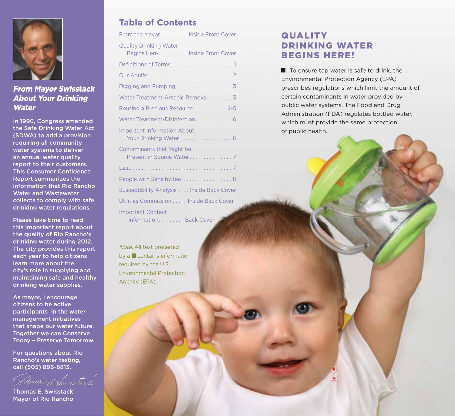

#### From Mayor Swisstack About Your Drinking **Water**

In 1996, Congress amended the Safe Drinking Water Act (SDWA) to add a provision requiring all community water systems to deliver an annual water quality report to their customers. This Consumer Confidence Report summarizes the information that Rio Rancho Water and Wastewater collects to comply with safe drinking water regulations.

Please take time to read this important report about the quality of Rio Rancho's drinking water during 2012. The city provides this report each year to help citizens learn more about the city's role in supplying and maintaining safe and healthy drinking water supplies.

As mayor, I encourage citizens to be active participants in the water management initiatives that shape our water future. Together we can Conserve Today – Preserve Tomorrow.

For questions about Rio Rancho's water testing, call (505) 896-8813.

timos 6 Juinteck

Thomas E. Swisstack Mayor of Rio Rancho

## **Table of Contents**

| From the Mayor Inside Front Cover                                                       |
|-----------------------------------------------------------------------------------------|
| <b>Quality Drinking Water</b><br>Begins HereInside Front Cover                          |
|                                                                                         |
|                                                                                         |
|                                                                                         |
| Water Treatment-Arsenic Removal 3                                                       |
| Reusing a Precious Resource  4-5                                                        |
| Water Treatment-Disinfection 6                                                          |
| <b>Important Information About</b><br>Your Drinking Water  6                            |
| <b>Contaminants that Might be Contaminants of Might be</b><br>Present in Source Water 7 |
|                                                                                         |
| People with Sensitivities  8                                                            |
| Susceptibility Analysis  Inside Back Cover                                              |
| Utilities Commission Inside Back Cover                                                  |
| <b>Important Contact</b><br>Information Back Cover                                      |

Note: All text preceded by a  $\blacksquare$  contains information required by the U.S. Environmental Protection Agency (EPA).

## **QUALITY** DRINKING WATER BEGINS HERE!

■ To ensure tap water is safe to drink, the Environmental Protection Agency (EPA) prescribes regulations which limit the amount of certain contaminants in water provided by public water systems. The Food and Drug Administration (FDA) regulates bottled water, which must provide the same protection of public health.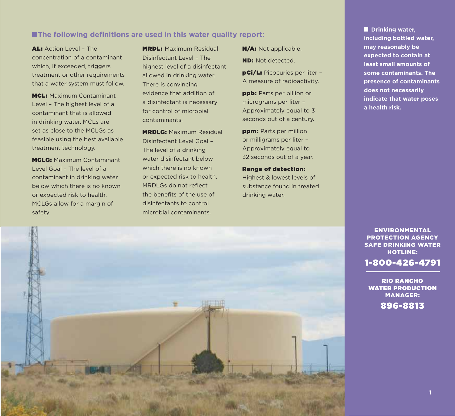# **The following definitions are used in this water quality report: Drinking Water, and the Drinking water, and the portional properties of the contract of the contract of the contract of the contract of the contract of th**

AL: Action Level - The concentration of a contaminant which, if exceeded, triggers treatment or other requirements that a water system must follow.

**MCL: Maximum Contaminant** Level – The highest level of a contaminant that is allowed in drinking water. MCLs are set as close to the MCLGs as feasible using the best available treatment technology.

MCLG: Maximum Contaminant Level Goal – The level of a contaminant in drinking water below which there is no known or expected risk to health. MCLGs allow for a margin of safety.

MRDL: Maximum Residual Disinfectant Level – The highest level of a disinfectant allowed in drinking water. There is convincing evidence that addition of a disinfectant is necessary for control of microbial contaminants.

MRDLG: Maximum Residual Disinfectant Level Goal – The level of a drinking water disinfectant below which there is no known or expected risk to health. MRDLGs do not reflect the benefits of the use of disinfectants to control microbial contaminants.

N/A: Not applicable.

ND: Not detected.

pCi/L: Picocuries per liter – A measure of radioactivity.

ppb: Parts per billion or micrograms per liter – Approximately equal to 3 seconds out of a century.

ppm: Parts per million or milligrams per liter – Approximately equal to 32 seconds out of a year.

Range of detection: Highest & lowest levels of substance found in treated drinking water.

**including bottled water, may reasonably be expected to contain at least small amounts of some contaminants. The presence of contaminants does not necessarily indicate that water poses a health risk.**

ENVIRONMENTAL PROTECTION AGENCY SAFE DRINKING WATER HOTLINE: 1-800-426-4791

RIO RANCHO WATER PRODUCTION MANAGER:

896-8813

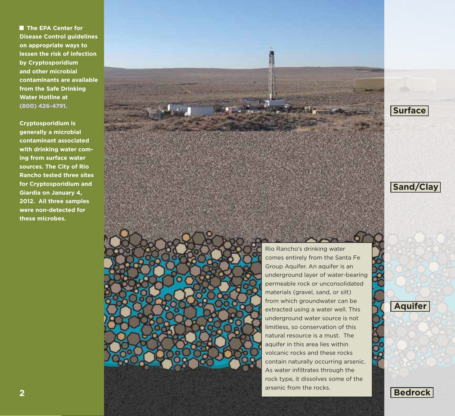**The EPA Center for Disease Control guidelines on appropriate ways to lessen the risk of infection by Cryptosporidium and other microbial contaminants are available from the Safe Drinking Water Hotline at**  (800) 426-4791.

**Cryptosporidium is generally a microbial contaminant associated with drinking water com ing from surface water sources . The City of Rio Rancho tested three sites for Cryptosporidium and Giardia on January 4, 2012 . All three samples were non-detected for these microbes .**



Rio Rancho's drinking water comes entirely from the Santa Fe Group Aquifer. An aquifer is an underground layer of water-bearing permeable rock or unconsolidated materials (gravel, sand, or silt) from which groundwater can be extracted using a water well. This underground water source is not limitless, so conservation of this natural resource is a must. The aquifer in this area lies within volcanic rocks and these rocks contain naturally occurring arsenic. As water infiltrates through the rock type, it dissolves some of the arsenic from the rocks.

**Surface**

## **Sand/Clay**

**Aquifer**

**Bedrock**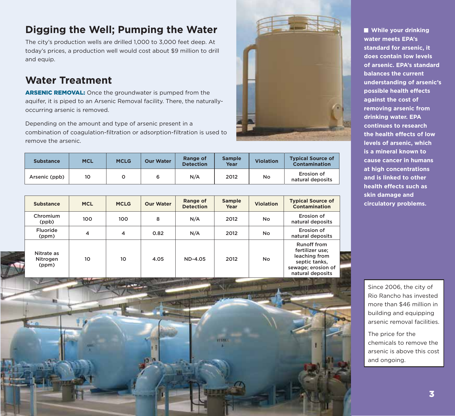# **Digging the Well; Pumping the Water**

The city's production wells are drilled 1,000 to 3,000 feet deep. At today's prices, a production well would cost about \$9 million to drill and equip.

# **Water Treatment**

ARSENIC REMOVAL: Once the groundwater is pumped from the aquifer, it is piped to an Arsenic Removal facility. There, the naturallyoccurring arsenic is removed.

Depending on the amount and type of arsenic present in a combination of coagulation-filtration or adsorption-filtration is used to remove the arsenic.

| <b>Substance</b> | <b>MCL</b> | <b>MCLG</b> | <b>Our Water</b> | Range of<br><b>Detection</b> | <b>Sample</b><br>Year | <b>Violation</b> | <b>Typical Source of</b><br>Contamination |
|------------------|------------|-------------|------------------|------------------------------|-----------------------|------------------|-------------------------------------------|
| Arsenic (ppb)    | 10         |             |                  | N/A                          | 2012                  | No               | Erosion of<br>natural deposits            |

| <b>Substance</b>                | <b>MCL</b>              | <b>MCLG</b> | <b>Our Water</b> | Range of<br><b>Detection</b> | <b>Sample</b><br>Year | <b>Violation</b> | <b>Typical Source of</b><br>Contamination                                                                  |
|---------------------------------|-------------------------|-------------|------------------|------------------------------|-----------------------|------------------|------------------------------------------------------------------------------------------------------------|
| Chromium<br>(ppb)               | 100                     | 100         | 8                | N/A                          | 2012                  | No               | Erosion of<br>natural deposits                                                                             |
| Fluoride<br>(ppm)               | $\overline{\mathbf{4}}$ | 4           | 0.82             | N/A                          | 2012                  | No               | Erosion of<br>natural deposits                                                                             |
| Nitrate as<br>Nitrogen<br>(ppm) | 10                      | 10          | 4.05             | ND-4.05                      | 2012                  | No               | Runoff from<br>fertilizer use;<br>leaching from<br>septic tanks,<br>sewage; erosion of<br>natural deposits |

**VENNE** 



**While your drinking water meets EPA's standard for arsenic, it does contain low levels of arsenic. EPA's standard balances the current understanding of arsenic's possible health effects against the cost of removing arsenic from drinking water. EPA continues to research the health effects of low levels of arsenic, which is a mineral known to cause cancer in humans at high concentrations and is linked to other health effects such as skin damage and circulatory problems.**

Since 2006, the city of Rio Rancho has invested more than \$46 million in building and equipping arsenic removal facilities.

The price for the chemicals to remove the arsenic is above this cost and ongoing.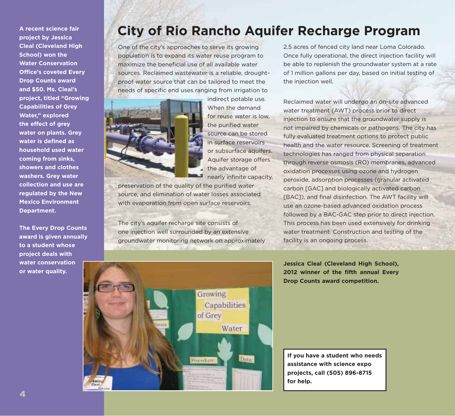**A recent science fair project by Jessica Cleal (Cleveland High School) won the Water Conservation Office's coveted Every Drop Counts award and \$50. Ms. Cleal's project, titled "Growing Capabilities of Grey Water," explored the effect of grey water on plants. Grey water is defined as household used water coming from sinks, showers and clothes washers. Grey water collection and use are regulated by the New Mexico Environment Department.**

**The Every Drop Counts award is given annually to a student whose project deals with water conservation or water quality.**

# **City of Rio Rancho Aquifer Recharge Program**

One of the city's approaches to serve its growing population is to expand its water reuse program to maximize the beneficial use of all available water sources. Reclaimed wastewater is a reliable, droughtproof water source that can be tailored to meet the needs of specific end uses ranging from irrigation to



indirect potable use. When the demand for reuse water is low, the purified water source can be stored in surface reservoirs or subsurface aquifers. Aquifer storage offers the advantage of nearly infinite capacity,

preservation of the quality of the purified water source, and elimination of water losses associated with evaporation from open surface reservoirs.

The city's aquifer recharge site consists of one injection well surrounded by an extensive groundwater monitoring network on approximately 2.5 acres of fenced city land near Loma Colorado. Once fully operational, the direct injection facility will be able to replenish the groundwater system at a rate of 1 million gallons per day, based on initial testing of the injection well.

Reclaimed water will undergo an on-site advanced water treatment (AWT) process prior to direct injection to ensure that the groundwater supply is not impaired by chemicals or pathogens. The city has fully evaluated treatment options to protect public health and the water resource. Screening of treatment technologies has ranged from physical separation through reverse osmosis (RO) membranes, advanced oxidation processes using ozone and hydrogen peroxide, adsorption processes (granular activated carbon [GAC] and biologically activated carbon [BAC]), and final disinfection. The AWT facility will use an ozone-based advanced oxidation process followed by a BAC-GAC step prior to direct injection. This process has been used extensively for drinking water treatment. Construction and testing of the facility is an ongoing process.



**Jessica Cleal (Cleveland High School), 2012 winner of the fifth annual Every Drop Counts award competition.**

**If you have a student who needs assistance with science expo projects, call (505) 896-8715 for help.**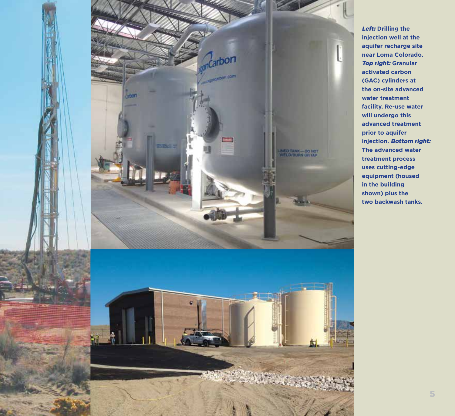

Left: **Drilling the injection well at the aquifer recharge site near Loma Colorado.** Top right: **Granular activated carbon (GAC) cylinders at the on-site advanced water treatment facility. Re-use water will undergo this advanced treatment prior to aquifer injection.** Bottom right: **The advanced water treatment process uses cutting-edge equipment (housed in the building shown) plus the two backwash tanks.**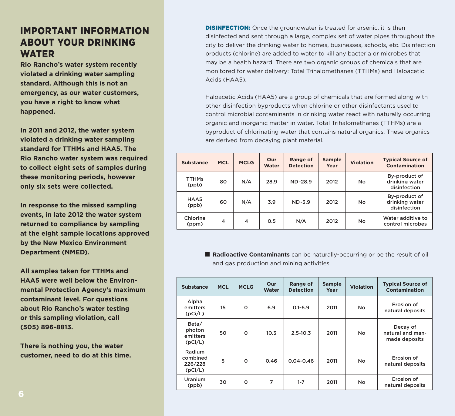# IMPORTANT INFORMATION ABOUT YOUR DRINKING WATER

**Rio Rancho's water system recently violated a drinking water sampling standard. Although this is not an emergency, as our water customers, you have a right to know what happened.**

**In 2011 and 2012, the water system violated a drinking water sampling standard for TTHMs and HAA5. The Rio Rancho water system was required to collect eight sets of samples during these monitoring periods, however only six sets were collected.**

**In response to the missed sampling events, in late 2012 the water system returned to compliance by sampling at the eight sample locations approved by the New Mexico Environment Department (NMED).**

**All samples taken for TTHMs and HAA5 were well below the Environmental Protection Agency's maximum contaminant level. For questions about Rio Rancho's water testing or this sampling violation, call (505) 896-8813.**

**There is nothing you, the water customer, need to do at this time.**

**DISINFECTION:** Once the groundwater is treated for arsenic, it is then disinfected and sent through a large, complex set of water pipes throughout the city to deliver the drinking water to homes, businesses, schools, etc. Disinfection products (chlorine) are added to water to kill any bacteria or microbes that may be a health hazard. There are two organic groups of chemicals that are monitored for water delivery: Total Trihalomethanes (TTHMs) and Haloacetic Acids (HAA5).

Haloacetic Acids (HAA5) are a group of chemicals that are formed along with other disinfection byproducts when chlorine or other disinfectants used to control microbial contaminants in drinking water react with naturally occurring organic and inorganic matter in water. Total Trihalomethanes (TTHMs) are a byproduct of chlorinating water that contains natural organics. These organics are derived from decaying plant material.

| <b>Substance</b>      | <b>MCL</b> | <b>MCLG</b>    | Our<br>Water | Range of<br><b>Detection</b> | <b>Sample</b><br>Year | <b>Violation</b> | <b>Typical Source of</b><br>Contamination       |
|-----------------------|------------|----------------|--------------|------------------------------|-----------------------|------------------|-------------------------------------------------|
| <b>TTHMs</b><br>(ppb) | 80         | N/A            | 28.9         | ND-28.9                      | 2012                  | No               | By-product of<br>drinking water<br>disinfection |
| HAA5<br>(ppb)         | 60         | N/A            | 3.9          | $ND - 3.9$                   | 2012                  | No               | By-product of<br>drinking water<br>disinfection |
| Chlorine<br>(ppm)     | 4          | $\overline{a}$ | 0.5          | N/A                          | 2012                  | No               | Water additive to<br>control microbes           |

 **Radioactive Contaminants** can be naturally-occurring or be the result of oil and gas production and mining activities.

| <b>Substance</b>                         | <b>MCL</b> | <b>MCLG</b> | Our<br>Water | Range of<br><b>Detection</b> | <b>Sample</b><br>Year | <b>Violation</b> | <b>Typical Source of</b><br>Contamination     |
|------------------------------------------|------------|-------------|--------------|------------------------------|-----------------------|------------------|-----------------------------------------------|
| Alpha<br>emitters<br>(pCi/L)             | 15         | $\circ$     | 6.9          | $0.1 - 6.9$                  | 2011                  | No.              | Erosion of<br>natural deposits                |
| Beta/<br>photon<br>emitters<br>(pCi/L)   | 50         | $\circ$     | 10.3         | $2.5 - 10.3$                 | 2011                  | <b>No</b>        | Decay of<br>natural and man-<br>made deposits |
| Radium<br>combined<br>226/228<br>(pCi/L) | 5          | $\circ$     | 0.46         | $0.04 - 0.46$                | 2011                  | No               | Erosion of<br>natural deposits                |
| <b>Uranium</b><br>(ppb)                  | 30         | o           | 7            | $1 - 7$                      | 2011                  | No               | Erosion of<br>natural deposits                |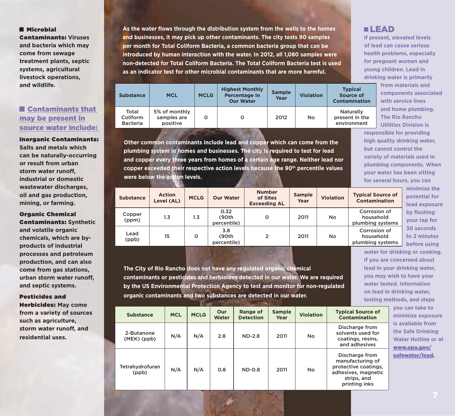#### **Microbial**

Contaminants: **Viruses and bacteria which may come from sewage treatment plants, septic systems, agricultural livestock operations, and wildlife.**

#### **■ Contaminants that** may be present in source water include:

Inorganic Contaminants: **Salts and metals which can be naturally-occurring or result from urban storm water runoff, industrial or domestic wastewater discharges, oil and gas production, mining, or farming.**

Organic Chemical Contaminants: **Synthetic and volatile organic chemicals, which are byproducts of industrial processes and petroleum production, and can also come from gas stations, urban storm water runoff, and septic systems.**

Pesticides and Herbicides: **May come from a variety of sources such as agriculture, storm water runoff, and residential uses.**

**As the water flows through the distribution system from the wells to the homes and businesses, it may pick up other contaminants. The city tests 90 samples per month for Total Coliform Bacteria, a common bacteria group that can be introduced by human interaction with the water. In 2012, all 1,080 samples were non-detected for Total Coliform Bacteria. The Total Coliform Bacteria test is used as an indicator test for other microbial contaminants that are more harmful.**

| <b>Substance</b>                     | <b>MCL</b>                               | <b>MCLG</b> | <b>Highest Monthly</b><br><b>Percentage In</b><br><b>Our Water</b> | <b>Sample</b><br>Year | <b>Violation</b> | <b>Typical</b><br>Source of<br><b>Contamination</b> |
|--------------------------------------|------------------------------------------|-------------|--------------------------------------------------------------------|-----------------------|------------------|-----------------------------------------------------|
| Total<br>Coliform<br><b>Bacteria</b> | 5% of monthly<br>samples are<br>positive | ο           | o                                                                  | 2012                  | No               | Naturally<br>present in the<br>environment          |

**Other common contaminants include lead and copper which can come from the plumbing system in homes and businesses. The city is required to test for lead and copper every three years from homes of a certain age range. Neither lead nor copper exceeded their respective action levels because the 90th percentile values were below the action levels.**

| <b>Substance</b> | <b>Action</b><br>Level (AL) | <b>MCLG</b> | <b>Our Water</b>             | <b>Number</b><br>of Sites<br><b>Exceeding AL</b> | Sample<br>Year | <b>Violation</b> | <b>Typical Source of</b><br><b>Contamination</b> |
|------------------|-----------------------------|-------------|------------------------------|--------------------------------------------------|----------------|------------------|--------------------------------------------------|
| Copper<br>(ppm)  | 1.3                         | 1.3         | 0.32<br>(90th<br>percentile) | O                                                | 2011           | No               | Corrosion of<br>household<br>plumbing systems    |
| Lead<br>(ppb)    | 15                          | o           | 3.8<br>(90th<br>percentile)  | $\mathfrak{p}$                                   | 2011           | No               | Corrosion of<br>household<br>plumbing systems    |

**The City of Rio Rancho does not have any regulated organic chemical contaminants or pesticides and herbicides detected in our water. We are required by the US Environmental Protection Agency to test and monitor for non-regulated organic contaminants and two substances are detected in our water.**

| <b>Substance</b>          | <b>MCL</b> | <b>MCLG</b> | Our<br>Water | Range of<br><b>Detection</b> | <b>Sample</b><br>Year | <b>Violation</b> | <b>Typical Source of</b><br>Contamination                                                                         |
|---------------------------|------------|-------------|--------------|------------------------------|-----------------------|------------------|-------------------------------------------------------------------------------------------------------------------|
| 2-Butanone<br>(MEK) (ppb) | N/A        | N/A         | 2.8          | $ND-2.8$                     | 2011                  | No.              | Discharge from<br>solvents used for<br>coatings, resins,<br>and adhesives                                         |
| Tetrahydrofuran<br>(ppb)  | N/A        | N/A         | 0.8          | <b>ND-0.8</b>                | 2011                  | No               | Discharge from<br>manufacturing of<br>protective coatings,<br>adhesives, magnetic<br>strips, and<br>printing inks |

#### LEAD

**If present, elevated levels of lead can cause serious health problems, especially for pregnant women and young children. Lead in drinking water is primarily** 

**from materials and components associated with service lines and home plumbing. The Rio Rancho Utilities Division is** 

**responsible for providing high quality drinking water, but cannot control the variety of materials used in plumbing components. When your water has been sitting for several hours, you can** 

> **minimize the potential for lead exposure by flushing your tap for 30 seconds to 2 minutes before using**

**water for drinking or cooking. If you are concerned about lead in your drinking water, you may wish to have your water tested. Information on lead in drinking water, testing methods, and steps** 

> **you can take to minimize exposure is available from the Safe Drinking Water Hotline or at**  www.epa.gov/ safewater/lead.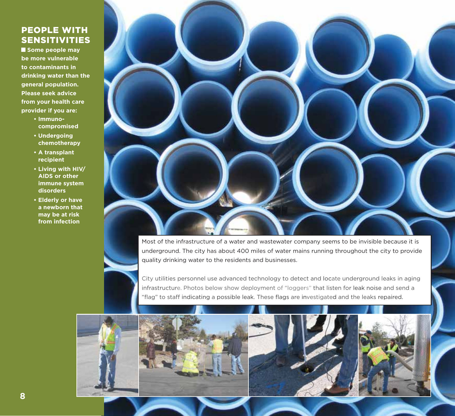# PEOPLE WITH SENSITIVITIES

**Some people may be more vulnerable to contaminants in drinking water than the general population. Please seek advice from your health care provider if you are:**

- **Immunocompromised**
- **Undergoing chemotherapy**
- **A transplant recipient**
- **Living with HIV/ AIDS or other immune system disorders**
- **Elderly or have a newborn that may be at risk from infection**



Most of the infrastructure of a water and wastewater company seems to be invisible because it is underground. The city has about 400 miles of water mains running throughout the city to provide quality drinking water to the residents and businesses.

City utilities personnel use advanced technology to detect and locate underground leaks in aging infrastructure. Photos below show deployment of "loggers" that listen for leak noise and send a "flag" to staff indicating a possible leak. These flags are investigated and the leaks repaired.



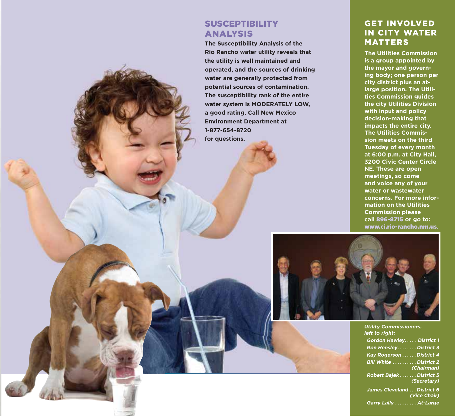### **SUSCEPTIBILITY** ANALYSIS

**The Susceptibility Analysis of the Rio Rancho water utility reveals that the utility is well maintained and operated, and the sources of drinking water are generally protected from potential sources of contamination. The susceptibility rank of the entire water system is MODERATELY LOW, a good rating. Call New Mexico Environment Department at 1-877-654-8720 for questions.**

### GET INVOLVED IN CITY WATER MATTERS

**The Utilities Commission is a group appointed by the mayor and governing body; one person per city district plus an atlarge position. The Utilities Commission guides the city Utilities Division with input and policy decision-making that impacts the entire city. The Utilities Commission meets on the third Tuesday of every month at 6:00 p.m. at City Hall, 3200 Civic Center Circle NE. These are open meetings, so come and voice any of your water or wastewater concerns. For more information on the Utilities Commission please call** 896-8715 **or go to:** www.ci.rio-rancho.nm.us**.**



| <b>Utility Commissioners,</b>   |
|---------------------------------|
| left to right:                  |
| <b>Gordon Hawley District 1</b> |
| Ron Hensley District 3          |
| Kay Rogerson  District 4        |
| Bill White  District 2          |
| (Chairman)                      |
| Robert Bajek  District 5        |
| (Secretary)                     |
| James Cleveland  District 6     |
| (Vice Chair)                    |
| Garry Lally  At-Large           |